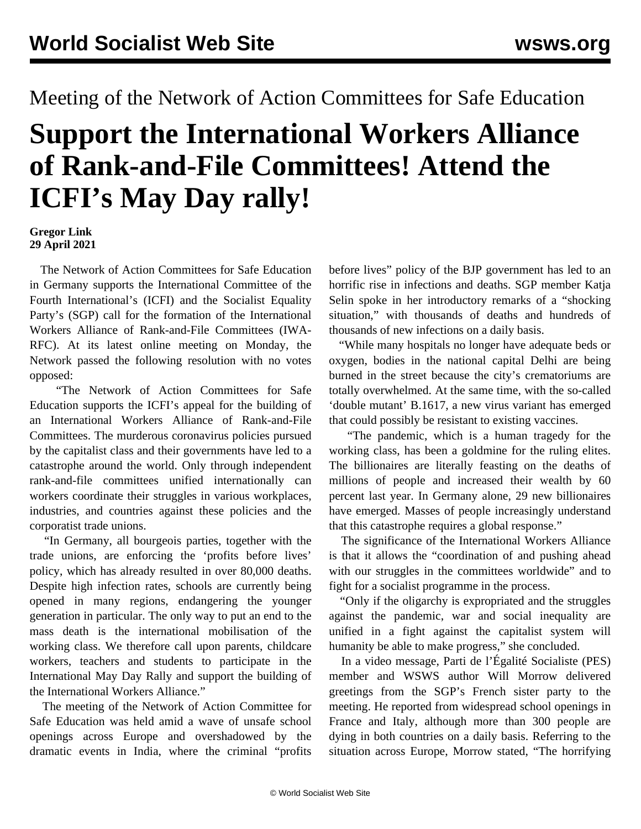## Meeting of the Network of Action Committees for Safe Education

## **Support the International Workers Alliance of Rank-and-File Committees! Attend the ICFI's May Day rally!**

**Gregor Link 29 April 2021**

 The Network of Action Committees for Safe Education in Germany supports the International Committee of the Fourth International's (ICFI) and the Socialist Equality Party's (SGP) call for the formation of the International Workers Alliance of Rank-and-File Committees (IWA-RFC). At its latest online meeting on Monday, the Network passed the following resolution with no votes opposed:

 "The Network of Action Committees for Safe Education supports the ICFI's appeal for the building of an International Workers Alliance of Rank-and-File Committees. The murderous coronavirus policies pursued by the capitalist class and their governments have led to a catastrophe around the world. Only through independent rank-and-file committees unified internationally can workers coordinate their struggles in various workplaces, industries, and countries against these policies and the corporatist trade unions.

 "In Germany, all bourgeois parties, together with the trade unions, are enforcing the 'profits before lives' policy, which has already resulted in over 80,000 deaths. Despite high infection rates, schools are currently being opened in many regions, endangering the younger generation in particular. The only way to put an end to the mass death is the international mobilisation of the working class. We therefore call upon parents, childcare workers, teachers and students to participate in the International May Day Rally and support the building of the International Workers Alliance."

 The meeting of the Network of Action Committee for Safe Education was held amid a wave of unsafe school openings across Europe and overshadowed by the dramatic events in India, where the criminal "profits

before lives" policy of the BJP government has led to an horrific rise in infections and deaths. SGP member Katja Selin spoke in her introductory remarks of a "shocking situation," with thousands of deaths and hundreds of thousands of new infections on a daily basis.

 "While many hospitals no longer have adequate beds or oxygen, bodies in the national capital Delhi are being burned in the street because the city's crematoriums are totally overwhelmed. At the same time, with the so-called 'double mutant' B.1617, a new virus variant has emerged that could possibly be resistant to existing vaccines.

 "The pandemic, which is a human tragedy for the working class, has been a goldmine for the ruling elites. The billionaires are literally feasting on the deaths of millions of people and increased their wealth by 60 percent last year. In Germany alone, 29 new billionaires have emerged. Masses of people increasingly understand that this catastrophe requires a global response."

 The significance of the International Workers Alliance is that it allows the "coordination of and pushing ahead with our struggles in the committees worldwide" and to fight for a socialist programme in the process.

 "Only if the oligarchy is expropriated and the struggles against the pandemic, war and social inequality are unified in a fight against the capitalist system will humanity be able to make progress," she concluded.

 In a video message, Parti de l'Égalité Socialiste (PES) member and WSWS author Will Morrow delivered greetings from the SGP's French sister party to the meeting. He reported from widespread school openings in France and Italy, although more than 300 people are dying in both countries on a daily basis. Referring to the situation across Europe, Morrow stated, "The horrifying